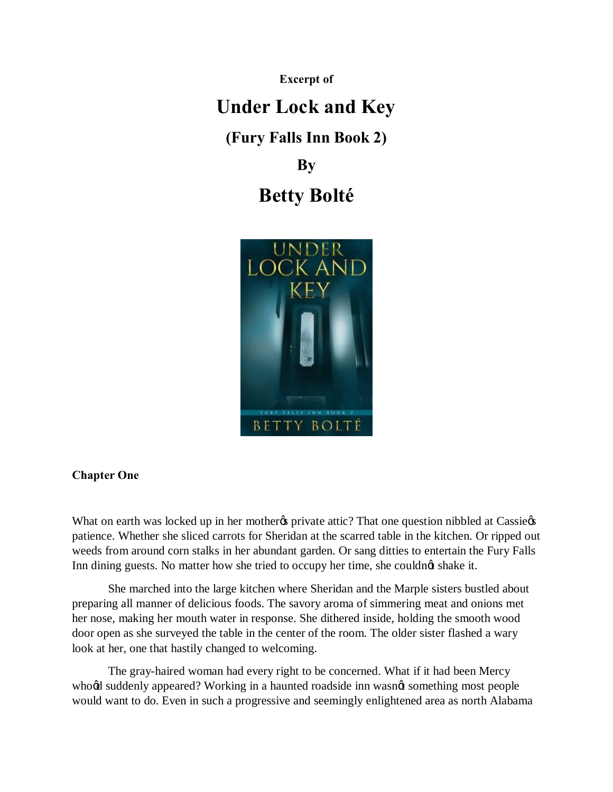**Excerpt of**

## **Under Lock and Key**

**(Fury Falls Inn Book 2)**

**By**

## **Betty Bolté**



## **Chapter One**

What on earth was locked up in her mother to private attic? That one question nibbled at Cassie patience. Whether she sliced carrots for Sheridan at the scarred table in the kitchen. Or ripped out weeds from around corn stalks in her abundant garden. Or sang ditties to entertain the Fury Falls Inn dining guests. No matter how she tried to occupy her time, she couldnot shake it.

She marched into the large kitchen where Sheridan and the Marple sisters bustled about preparing all manner of delicious foods. The savory aroma of simmering meat and onions met her nose, making her mouth water in response. She dithered inside, holding the smooth wood door open as she surveyed the table in the center of the room. The older sister flashed a wary look at her, one that hastily changed to welcoming.

The gray-haired woman had every right to be concerned. What if it had been Mercy whood suddenly appeared? Working in a haunted roadside inn wasnot something most people would want to do. Even in such a progressive and seemingly enlightened area as north Alabama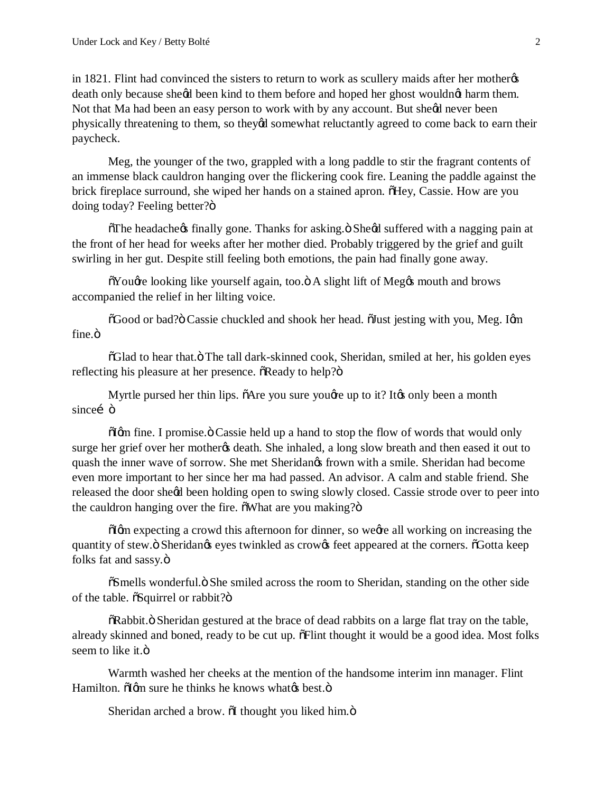in 1821. Flint had convinced the sisters to return to work as scullery maids after her mother  $\alpha$ death only because sheed been kind to them before and hoped her ghost wouldnet harm them. Not that Ma had been an easy person to work with by any account. But sheed never been physically threatening to them, so theyed somewhat reluctantly agreed to come back to earn their paycheck.

Meg, the younger of the two, grappled with a long paddle to stir the fragrant contents of an immense black cauldron hanging over the flickering cook fire. Leaning the paddle against the brick fireplace surround, she wiped her hands on a stained apron. They, Cassie. How are you doing today? Feeling better?"

 $\delta$ The headache $\delta$  finally gone. Thanks for asking. $\delta$  She $\delta$ d suffered with a nagging pain at the front of her head for weeks after her mother died. Probably triggered by the grief and guilt swirling in her gut. Despite still feeling both emotions, the pain had finally gone away.

 $\delta$ You $\alpha$  looking like yourself again, too. $\delta$  A slight lift of Meg $\alpha$  mouth and brows accompanied the relief in her lilting voice.

 $\delta$ Good or bad? $\delta$ Cassie chuckled and shook her head.  $\delta$ Just jesting with you, Meg. Igm fine. $\ddot{\text{o}}$ 

 $\delta$ Glad to hear that. $\ddot{\text{o}}$  The tall dark-skinned cook, Sheridan, smiled at her, his golden eyes reflecting his pleasure at her presence.  $\delta$ Ready to help? $\delta$ 

Myrtle pursed her thin lips.  $\tilde{o}$ Are you sure you $\alpha$  up to it? It the only been a month sinceí ö

 $\delta$  Igm fine. I promise  $\delta$  Cassie held up a hand to stop the flow of words that would only surge her grief over her mother the death. She inhaled, a long slow breath and then eased it out to quash the inner wave of sorrow. She met Sheridan's frown with a smile. Sheridan had become even more important to her since her ma had passed. An advisor. A calm and stable friend. She released the door sheed been holding open to swing slowly closed. Cassie strode over to peer into the cauldron hanging over the fire.  $\delta$ What are you making? $\delta$ 

 $\delta$ Igm expecting a crowd this afternoon for dinner, so wegre all working on increasing the quantity of stew. $\ddot{\text{o}}$  Sheridangs eyes twinkled as crowgs feet appeared at the corners.  $\ddot{\text{o}}$  Gotta keep folks fat and sassy. $\ddot{\text{o}}$ 

 $\tilde{\text{o}}$ Smells wonderful. $\ddot{\text{o}}$  She smiled across the room to Sheridan, standing on the other side of the table.  $\tilde{\text{o}S}$ quirrel or rabbit? $\ddot{\text{o}}$ 

 $\delta$ Rabbit.  $\delta$  Sheridan gestured at the brace of dead rabbits on a large flat tray on the table, already skinned and boned, ready to be cut up.  $\delta$ Flint thought it would be a good idea. Most folks seem to like it. ö

Warmth washed her cheeks at the mention of the handsome interim inn manager. Flint Hamilton.  $\delta$ Igm sure he thinks he knows whatgs best. $\ddot{\text{o}}$ 

Sheridan arched a brow.  $\delta$ I thought you liked him. $\ddot{\delta}$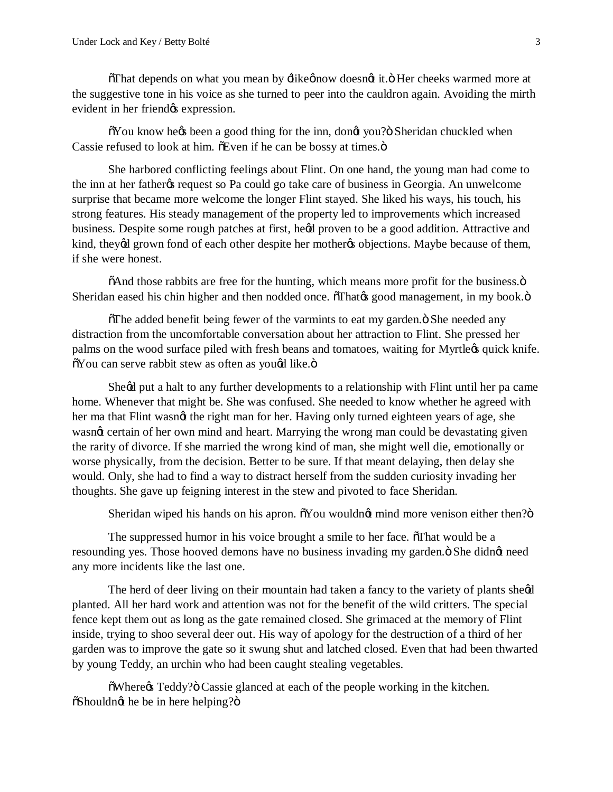$\delta$ That depends on what you mean by  $\exists$ ikeønow doesn $\alpha$  it. $\delta$  Her cheeks warmed more at the suggestive tone in his voice as she turned to peer into the cauldron again. Avoiding the mirth evident in her friend $\alpha$ s expression.

 $\delta$ You know he $\alpha$  been a good thing for the inn, dongt you? Sheridan chuckled when Cassie refused to look at him.  $\delta$ Even if he can be bossy at times. $\ddot{\sigma}$ 

She harbored conflicting feelings about Flint. On one hand, the young man had come to the inn at her father the request so Pa could go take care of business in Georgia. An unwelcome surprise that became more welcome the longer Flint stayed. She liked his ways, his touch, his strong features. His steady management of the property led to improvements which increased business. Despite some rough patches at first, heød proven to be a good addition. Attractive and kind, theyed grown fond of each other despite her motheres objections. Maybe because of them, if she were honest.

 $\delta$ And those rabbits are free for the hunting, which means more profit for the business. $\ddot{o}$ Sheridan eased his chin higher and then nodded once.  $\tilde{o}$ That $\alpha$  good management, in my book. $\ddot{o}$ 

 $\delta$ The added benefit being fewer of the varmints to eat my garden. $\delta$  She needed any distraction from the uncomfortable conversation about her attraction to Flint. She pressed her palms on the wood surface piled with fresh beans and tomatoes, waiting for Myrtle $\alpha$  quick knife.  $\delta$ You can serve rabbit stew as often as yougd like. $\ddot{\mathrm{o}}$ 

Sheed put a halt to any further developments to a relationship with Flint until her pa came home. Whenever that might be. She was confused. She needed to know whether he agreed with her ma that Flint wasnot the right man for her. Having only turned eighteen years of age, she wasnet certain of her own mind and heart. Marrying the wrong man could be devastating given the rarity of divorce. If she married the wrong kind of man, she might well die, emotionally or worse physically, from the decision. Better to be sure. If that meant delaying, then delay she would. Only, she had to find a way to distract herself from the sudden curiosity invading her thoughts. She gave up feigning interest in the stew and pivoted to face Sheridan.

Sheridan wiped his hands on his apron.  $\tilde{\text{o}}$  You wouldn $\alpha$  mind more venison either then? $\ddot{\text{o}}$ 

The suppressed humor in his voice brought a smile to her face.  $\delta$ That would be a resounding yes. Those hooved demons have no business invading my garden. $\ddot{o}$  She didnet need any more incidents like the last one.

The herd of deer living on their mountain had taken a fancy to the variety of plants sheed planted. All her hard work and attention was not for the benefit of the wild critters. The special fence kept them out as long as the gate remained closed. She grimaced at the memory of Flint inside, trying to shoo several deer out. His way of apology for the destruction of a third of her garden was to improve the gate so it swung shut and latched closed. Even that had been thwarted by young Teddy, an urchin who had been caught stealing vegetables.

 $\delta$ Where $\alpha$  Teddy? $\delta$  Cassie glanced at each of the people working in the kitchen.  $\ddot{\text{o}}$ Shouldn $\alpha$  he be in here helping? $\ddot{\text{o}}$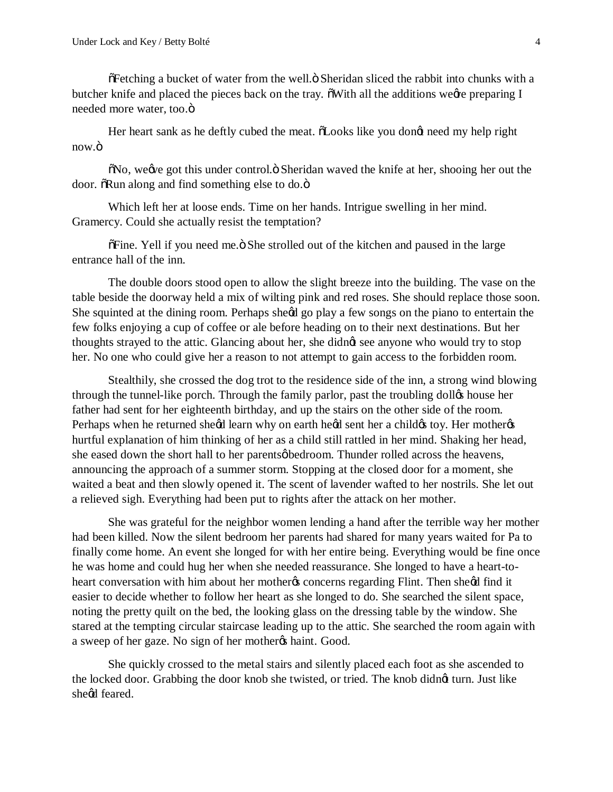$\delta$ Fetching a bucket of water from the well. $\ddot{o}$  Sheridan sliced the rabbit into chunks with a butcher knife and placed the pieces back on the tray.  $\delta$ With all the additions weere preparing I needed more water, too. $\ddot{\text{o}}$ 

Her heart sank as he deftly cubed the meat.  $\delta$ Looks like you dongt need my help right now.ö

 $\delta$ No, we we got this under control.  $\delta$  Sheridan waved the knife at her, shooing her out the door.  $\delta$ Run along and find something else to do. $\ddot{o}$ 

Which left her at loose ends. Time on her hands. Intrigue swelling in her mind. Gramercy. Could she actually resist the temptation?

 $\delta$ Fine. Yell if you need me. $\ddot{o}$  She strolled out of the kitchen and paused in the large entrance hall of the inn.

The double doors stood open to allow the slight breeze into the building. The vase on the table beside the doorway held a mix of wilting pink and red roses. She should replace those soon. She squinted at the dining room. Perhaps sheed go play a few songs on the piano to entertain the few folks enjoying a cup of coffee or ale before heading on to their next destinations. But her thoughts strayed to the attic. Glancing about her, she didnet see anyone who would try to stop her. No one who could give her a reason to not attempt to gain access to the forbidden room.

Stealthily, she crossed the dog trot to the residence side of the inn, a strong wind blowing through the tunnel-like porch. Through the family parlor, past the troubling dollgs house her father had sent for her eighteenth birthday, and up the stairs on the other side of the room. Perhaps when he returned sheed learn why on earth heed sent her a child toy. Her mother's hurtful explanation of him thinking of her as a child still rattled in her mind. Shaking her head, she eased down the short hall to her parentsøbedroom. Thunder rolled across the heavens, announcing the approach of a summer storm. Stopping at the closed door for a moment, she waited a beat and then slowly opened it. The scent of lavender wafted to her nostrils. She let out a relieved sigh. Everything had been put to rights after the attack on her mother.

She was grateful for the neighbor women lending a hand after the terrible way her mother had been killed. Now the silent bedroom her parents had shared for many years waited for Pa to finally come home. An event she longed for with her entire being. Everything would be fine once he was home and could hug her when she needed reassurance. She longed to have a heart-toheart conversation with him about her mother to concerns regarding Flint. Then sheld find it easier to decide whether to follow her heart as she longed to do. She searched the silent space, noting the pretty quilt on the bed, the looking glass on the dressing table by the window. She stared at the tempting circular staircase leading up to the attic. She searched the room again with a sweep of her gaze. No sign of her mother thaint. Good.

She quickly crossed to the metal stairs and silently placed each foot as she ascended to the locked door. Grabbing the door knob she twisted, or tried. The knob didnet turn. Just like sheed feared.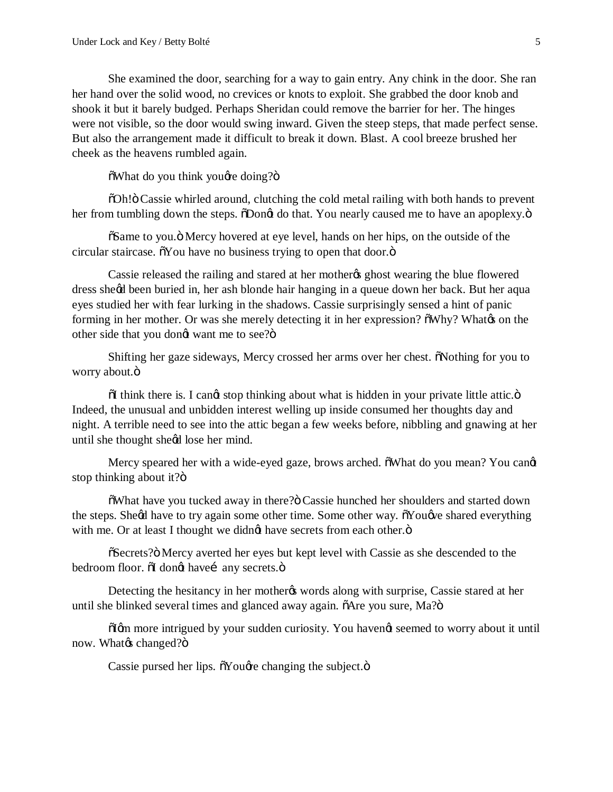She examined the door, searching for a way to gain entry. Any chink in the door. She ran her hand over the solid wood, no crevices or knots to exploit. She grabbed the door knob and shook it but it barely budged. Perhaps Sheridan could remove the barrier for her. The hinges were not visible, so the door would swing inward. Given the steep steps, that made perfect sense. But also the arrangement made it difficult to break it down. Blast. A cool breeze brushed her cheek as the heavens rumbled again.

 $\delta$ What do you think you *d*re doing?"

"Oh!" Cassie whirled around, clutching the cold metal railing with both hands to prevent her from tumbling down the steps.  $\delta$ Dongt do that. You nearly caused me to have an apoplexy. $\ddot{o}$ 

 $\delta$ Same to you.  $\ddot{o}$  Mercy hovered at eye level, hands on her hips, on the outside of the circular staircase.  $\delta$ You have no business trying to open that door. $\ddot{o}$ 

Cassie released the railing and stared at her mother the ghost wearing the blue flowered dress she'd been buried in, her ash blonde hair hanging in a queue down her back. But her aqua eyes studied her with fear lurking in the shadows. Cassie surprisingly sensed a hint of panic forming in her mother. Or was she merely detecting it in her expression?  $\delta W h y$ ? What  $\alpha$  on the other side that you dongt want me to see?"

Shifting her gaze sideways, Mercy crossed her arms over her chest. Nothing for you to worry about.ö

 $\ddot{\text{o}}$ I think there is. I cangt stop thinking about what is hidden in your private little attic. $\ddot{\text{o}}$ Indeed, the unusual and unbidden interest welling up inside consumed her thoughts day and night. A terrible need to see into the attic began a few weeks before, nibbling and gnawing at her until she thought sheed lose her mind.

Mercy speared her with a wide-eyed gaze, brows arched.  $\delta$ What do you mean? You cand stop thinking about it?ö

 $\delta$ What have you tucked away in there? $\ddot{o}$  Cassie hunched her shoulders and started down the steps. Sheed have to try again some other time. Some other way.  $\tilde{\alpha}$ Youe shared everything with me. Or at least I thought we didng have secrets from each other. $\ddot{o}$ 

 $\tilde{C}$  Secrets?" Mercy averted her eyes but kept level with Cassie as she descended to the bedroom floor.  $\delta I$  dongt have i any secrets. $\ddot{\sigma}$ 

Detecting the hesitancy in her mother to words along with surprise, Cassie stared at her until she blinked several times and glanced away again.  $\tilde{o}$ Are you sure, Ma? $\ddot{o}$ 

 $\tilde{\text{d}}$  more intrigued by your sudden curiosity. You havengt seemed to worry about it until now. What% changed?ö

Cassie pursed her lips.  $\tilde{\alpha}$ You $\alpha$  changing the subject. $\ddot{\alpha}$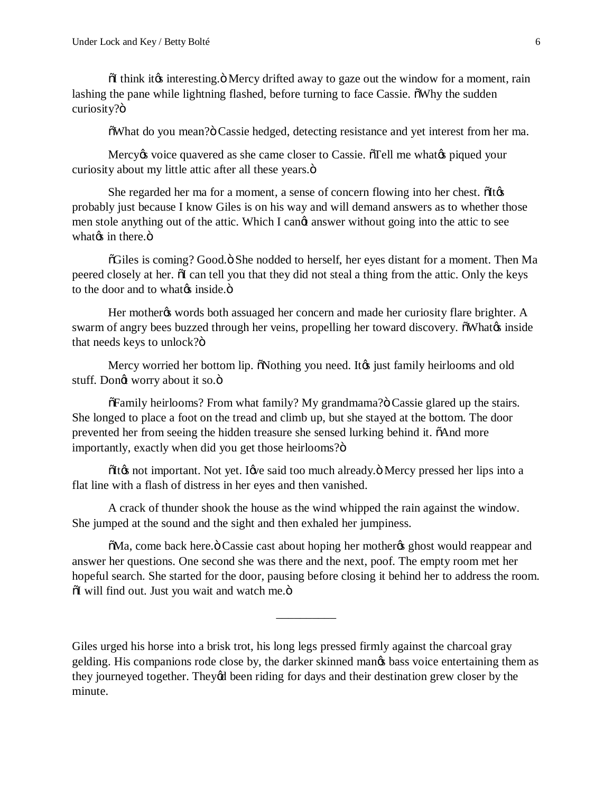$\tilde{\text{o}}$ I think it is interesting. $\ddot{\text{o}}$  Mercy drifted away to gaze out the window for a moment, rain lashing the pane while lightning flashed, before turning to face Cassie.  $\delta W$ hy the sudden curiosity?ö

 $\delta$ What do you mean? $\ddot{o}$  Cassie hedged, detecting resistance and yet interest from her ma.

Mercy to voice quavered as she came closer to Cassie. Tell me what to piqued your curiosity about my little attic after all these years. $\ddot{o}$ 

She regarded her ma for a moment, a sense of concern flowing into her chest.  $\delta$ It $\alpha$ probably just because I know Giles is on his way and will demand answers as to whether those men stole anything out of the attic. Which I cange answer without going into the attic to see what $\alpha$  in there. $\ddot{\text{o}}$ 

 $\delta$ Giles is coming? Good. $\ddot{\text{o}}$  She nodded to herself, her eyes distant for a moment. Then Ma peered closely at her.  $\tilde{o}I$  can tell you that they did not steal a thing from the attic. Only the keys to the door and to whate inside. $\ddot{\text{o}}$ 

Her mother two words both assuaged her concern and made her curiosity flare brighter. A swarm of angry bees buzzed through her veins, propelling her toward discovery.  $\tilde{o}$ What $\alpha$  inside that needs keys to unlock? $ö$ 

Mercy worried her bottom lip. Nothing you need. It is just family heirlooms and old stuff. Dongt worry about it so. $\ddot{o}$ 

 $\delta$ Family heirlooms? From what family? My grandmama? $\ddot{o}$  Cassie glared up the stairs. She longed to place a foot on the tread and climb up, but she stayed at the bottom. The door prevented her from seeing the hidden treasure she sensed lurking behind it.  $\delta$ And more importantly, exactly when did you get those heirlooms? $\ddot{o}$ 

 $I$ it $\alpha$  not important. Not yet. I $\alpha$  said too much already. Nercy pressed her lips into a flat line with a flash of distress in her eyes and then vanished.

A crack of thunder shook the house as the wind whipped the rain against the window. She jumped at the sound and the sight and then exhaled her jumpiness.

 $\delta$ Ma, come back here.  $\delta$  Cassie cast about hoping her mother the ghost would reappear and answer her questions. One second she was there and the next, poof. The empty room met her hopeful search. She started for the door, pausing before closing it behind her to address the room.  $\delta$ I will find out. Just you wait and watch me. $\ddot{o}$ 

\_\_\_\_\_\_\_\_\_\_

Giles urged his horse into a brisk trot, his long legs pressed firmly against the charcoal gray gelding. His companions rode close by, the darker skinned man's bass voice entertaining them as they journeyed together. Theyed been riding for days and their destination grew closer by the minute.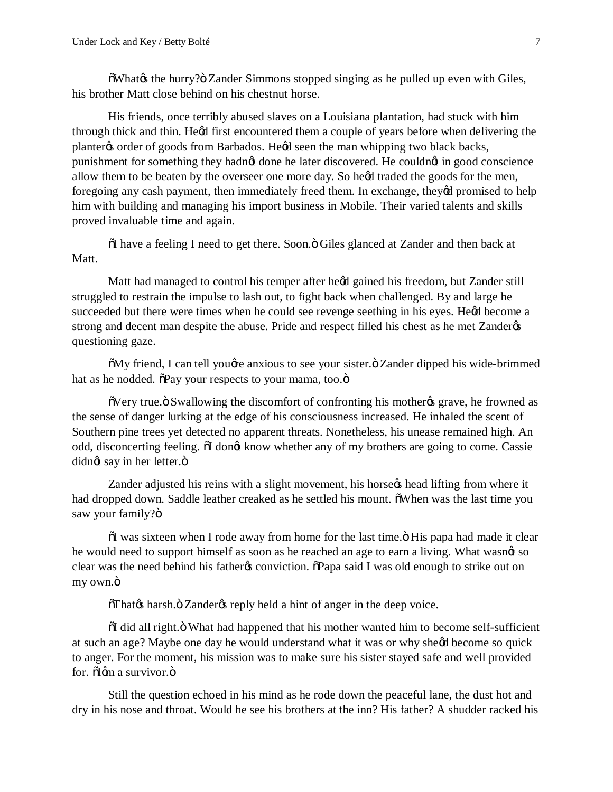$\delta$ What $\&$  the hurry? $\ddot{o}$  Zander Simmons stopped singing as he pulled up even with Giles, his brother Matt close behind on his chestnut horse.

His friends, once terribly abused slaves on a Louisiana plantation, had stuck with him through thick and thin. Hegd first encountered them a couple of years before when delivering the planter the order of goods from Barbados. Head seen the man whipping two black backs, punishment for something they hadnot done he later discovered. He couldnot in good conscience allow them to be beaten by the overseer one more day. So heed traded the goods for the men, foregoing any cash payment, then immediately freed them. In exchange, theyed promised to help him with building and managing his import business in Mobile. Their varied talents and skills proved invaluable time and again.

 $\delta I$  have a feeling I need to get there. Soon. $\delta$  Giles glanced at Zander and then back at Matt.

Matt had managed to control his temper after heed gained his freedom, but Zander still struggled to restrain the impulse to lash out, to fight back when challenged. By and large he succeeded but there were times when he could see revenge seething in his eyes. He¢d become a strong and decent man despite the abuse. Pride and respect filled his chest as he met Zanderøs questioning gaze.

 $\delta$ My friend, I can tell you *d* e anxious to see your sister. $\ddot{o}$  Zander dipped his wide-brimmed hat as he nodded.  $\delta$ Pay your respects to your mama, too. $\ddot{o}$ 

 $\delta$ Very true. $\delta$  Swallowing the discomfort of confronting his mother  $\delta$  grave, he frowned as the sense of danger lurking at the edge of his consciousness increased. He inhaled the scent of Southern pine trees yet detected no apparent threats. Nonetheless, his unease remained high. An odd, disconcerting feeling.  $\ddot{\text{o}}$  dongt know whether any of my brothers are going to come. Cassie didnøt say in her letter.ö

Zander adjusted his reins with a slight movement, his horse thead lifting from where it had dropped down. Saddle leather creaked as he settled his mount.  $\delta$ When was the last time you saw your family?ö

 $\ddot{\text{o}}$ I was sixteen when I rode away from home for the last time. $\ddot{\text{o}}$  His papa had made it clear he would need to support himself as soon as he reached an age to earn a living. What wasnet so clear was the need behind his father to conviction.  $\delta$ Papa said I was old enough to strike out on my own.ö

 $\delta$ That $\alpha$  harsh. $\ddot{\text{o}}$  Zander $\alpha$  reply held a hint of anger in the deep voice.

 $\delta I$  did all right. $\ddot{\delta}$  What had happened that his mother wanted him to become self-sufficient at such an age? Maybe one day he would understand what it was or why sheed become so quick to anger. For the moment, his mission was to make sure his sister stayed safe and well provided for.  $\delta$ Iom a survivor. $\ddot{\mathrm{o}}$ 

Still the question echoed in his mind as he rode down the peaceful lane, the dust hot and dry in his nose and throat. Would he see his brothers at the inn? His father? A shudder racked his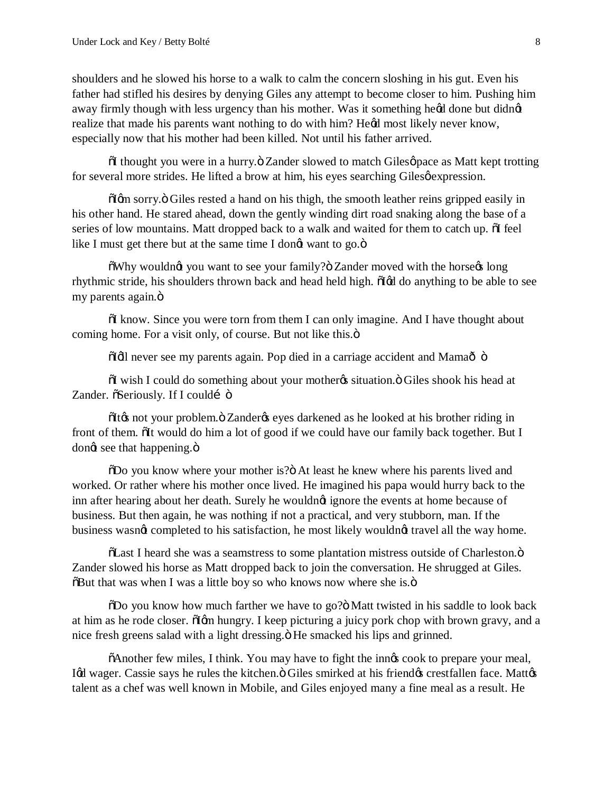shoulders and he slowed his horse to a walk to calm the concern sloshing in his gut. Even his father had stifled his desires by denying Giles any attempt to become closer to him. Pushing him away firmly though with less urgency than his mother. Was it something heød done but didnøt realize that made his parents want nothing to do with him? Hegd most likely never know, especially now that his mother had been killed. Not until his father arrived.

 $\tilde{\text{o}}$ I thought you were in a hurry. $\tilde{\text{o}}$  Zander slowed to match Gilesøpace as Matt kept trotting for several more strides. He lifted a brow at him, his eyes searching Gilesø expression.

 $\delta$ Igm sorry. $\ddot{o}$  Giles rested a hand on his thigh, the smooth leather reins gripped easily in his other hand. He stared ahead, down the gently winding dirt road snaking along the base of a series of low mountains. Matt dropped back to a walk and waited for them to catch up.  $\tilde{\text{o}}$  feel like I must get there but at the same time I dongt want to go.ö

 $\delta$ Why wouldng you want to see your family? $\delta$  Zander moved with the horsegs long rhythmic stride, his shoulders thrown back and head held high.  $\tilde{d}$  do anything to be able to see my parents again. $\ddot{o}$ 

 $\delta I$  know. Since you were torn from them I can only imagine. And I have thought about coming home. For a visit only, of course. But not like this. $\ddot{o}$ 

 $\ddot{\text{o}}$ Idl never see my parents again. Pop died in a carriage accident and Mama $\ddot{\text{o}}$  o

 $\delta I$  wish I could do something about your mother is situation.  $\delta$  Giles shook his head at Zander.  $\tilde{o}$ Seriously. If I couldí  $\ddot{o}$ 

 $I(x)$  of It $x$  not your problem.  $I(x)$  Zander $x$  eyes darkened as he looked at his brother riding in front of them. The would do him a lot of good if we could have our family back together. But I dong see that happening. $\ddot{o}$ 

"Do you know where your mother is?" At least he knew where his parents lived and worked. Or rather where his mother once lived. He imagined his papa would hurry back to the inn after hearing about her death. Surely he wouldngt ignore the events at home because of business. But then again, he was nothing if not a practical, and very stubborn, man. If the business wasnot completed to his satisfaction, he most likely wouldnot travel all the way home.

 $\tilde{\text{o}}$ Last I heard she was a seamstress to some plantation mistress outside of Charleston. $\ddot{\text{o}}$ Zander slowed his horse as Matt dropped back to join the conversation. He shrugged at Giles.  $\delta$ But that was when I was a little boy so who knows now where she is. $\ddot{\text{o}}$ 

 $\delta$ Do you know how much farther we have to go? $\ddot{o}$  Matt twisted in his saddle to look back at him as he rode closer.  $\delta$ Igm hungry. I keep picturing a juicy pork chop with brown gravy, and a nice fresh greens salad with a light dressing." He smacked his lips and grinned.

 $\delta$ Another few miles, I think. You may have to fight the inngs cook to prepare your meal, Igd wager. Cassie says he rules the kitchen. Ö Giles smirked at his friendgs crestfallen face. Mattgs talent as a chef was well known in Mobile, and Giles enjoyed many a fine meal as a result. He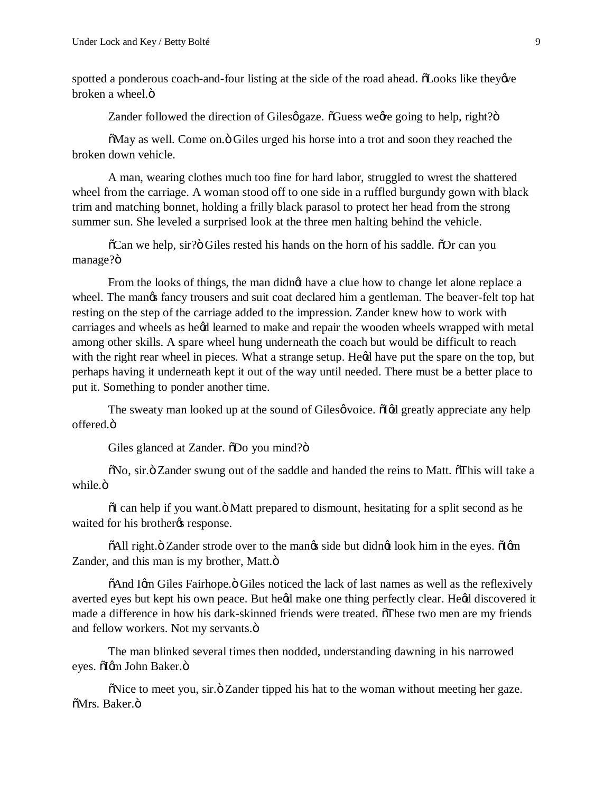spotted a ponderous coach-and-four listing at the side of the road ahead.  $\delta$ Looks like they over broken a wheel.ö

Zander followed the direction of Gilesø gaze.  $\delta$ Guess weare going to help, right? $\delta$ 

 $\delta$ May as well. Come on. $\ddot{o}$  Giles urged his horse into a trot and soon they reached the broken down vehicle.

A man, wearing clothes much too fine for hard labor, struggled to wrest the shattered wheel from the carriage. A woman stood off to one side in a ruffled burgundy gown with black trim and matching bonnet, holding a frilly black parasol to protect her head from the strong summer sun. She leveled a surprised look at the three men halting behind the vehicle.

 $\tilde{\text{o}}$ Can we help, sir? $\ddot{\text{o}}$  Giles rested his hands on the horn of his saddle.  $\ddot{\text{o}}$ Or can you manage?ö

From the looks of things, the man didngt have a clue how to change let alone replace a wheel. The mangs fancy trousers and suit coat declared him a gentleman. The beaver-felt top hat resting on the step of the carriage added to the impression. Zander knew how to work with carriages and wheels as hegd learned to make and repair the wooden wheels wrapped with metal among other skills. A spare wheel hung underneath the coach but would be difficult to reach with the right rear wheel in pieces. What a strange setup. Hegd have put the spare on the top, but perhaps having it underneath kept it out of the way until needed. There must be a better place to put it. Something to ponder another time.

The sweaty man looked up at the sound of Gilesøvoice.  $\delta$ Iød greatly appreciate any help offered.ö

Giles glanced at Zander.  $\delta$ Do you mind? $\delta$ 

 $\delta$ No, sir. $\ddot{o}$  Zander swung out of the saddle and handed the reins to Matt.  $\delta$ This will take a while.<sub>ö</sub>

 $\ddot{\text{o}}$ I can help if you want. $\ddot{\text{o}}$  Matt prepared to dismount, hesitating for a split second as he waited for his brotherys response.

 $\delta$ All right. $\delta$  Zander strode over to the man $\delta$  side but didn $\sigma$  look him in the eyes.  $\delta$ I $\sigma$ m Zander, and this man is my brother, Matt. $\ddot{o}$ 

 $\delta$ And Igm Giles Fairhope. $\ddot{o}$  Giles noticed the lack of last names as well as the reflexively averted eyes but kept his own peace. But heød make one thing perfectly clear. Heød discovered it made a difference in how his dark-skinned friends were treated. These two men are my friends and fellow workers. Not my servants. $\ddot{o}$ 

The man blinked several times then nodded, understanding dawning in his narrowed eyes. õlgm John Baker.ö

 $\delta$ Nice to meet you, sir. $\delta$  Zander tipped his hat to the woman without meeting her gaze. õMrs. Baker.ö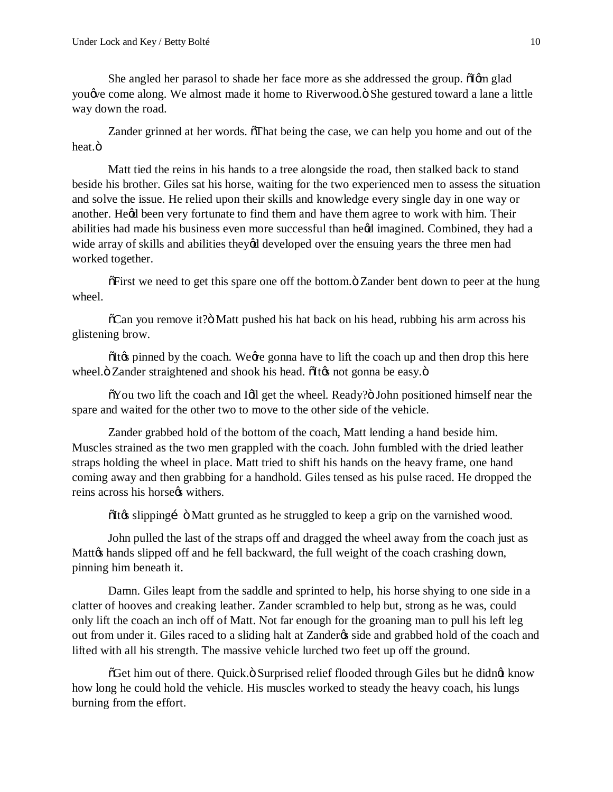She angled her parasol to shade her face more as she addressed the group.  $\delta$ Igm glad you we come along. We almost made it home to Riverwood. $\ddot{o}$  She gestured toward a lane a little way down the road.

Zander grinned at her words.  $\delta$ That being the case, we can help you home and out of the heat.ö

Matt tied the reins in his hands to a tree alongside the road, then stalked back to stand beside his brother. Giles sat his horse, waiting for the two experienced men to assess the situation and solve the issue. He relied upon their skills and knowledge every single day in one way or another. Hegd been very fortunate to find them and have them agree to work with him. Their abilities had made his business even more successful than heed imagined. Combined, they had a wide array of skills and abilities they'd developed over the ensuing years the three men had worked together.

 $\delta$ First we need to get this spare one off the bottom. $\ddot{\text{o}}$  Zander bent down to peer at the hung wheel.

 $\delta$ Can you remove it? $\delta$  Matt pushed his hat back on his head, rubbing his arm across his glistening brow.

 $I(x)$  pinned by the coach. We ge gonna have to lift the coach up and then drop this here wheel." Zander straightened and shook his head. "The solution of gonna be easy."

 $\delta$ You two lift the coach and Idl get the wheel. Ready? $\ddot{o}$  John positioned himself near the spare and waited for the other two to move to the other side of the vehicle.

Zander grabbed hold of the bottom of the coach, Matt lending a hand beside him. Muscles strained as the two men grappled with the coach. John fumbled with the dried leather straps holding the wheel in place. Matt tried to shift his hands on the heavy frame, one hand coming away and then grabbing for a handhold. Giles tensed as his pulse raced. He dropped the reins across his horse withers.

 $\delta$ It $\phi$  slipping  $\delta$  Matt grunted as he struggled to keep a grip on the varnished wood.

John pulled the last of the straps off and dragged the wheel away from the coach just as Mattø hands slipped off and he fell backward, the full weight of the coach crashing down, pinning him beneath it.

Damn. Giles leapt from the saddle and sprinted to help, his horse shying to one side in a clatter of hooves and creaking leather. Zander scrambled to help but, strong as he was, could only lift the coach an inch off of Matt. Not far enough for the groaning man to pull his left leg out from under it. Giles raced to a sliding halt at Zander& side and grabbed hold of the coach and lifted with all his strength. The massive vehicle lurched two feet up off the ground.

 $\delta$ Get him out of there. Quick.  $\delta$  Surprised relief flooded through Giles but he didnet know how long he could hold the vehicle. His muscles worked to steady the heavy coach, his lungs burning from the effort.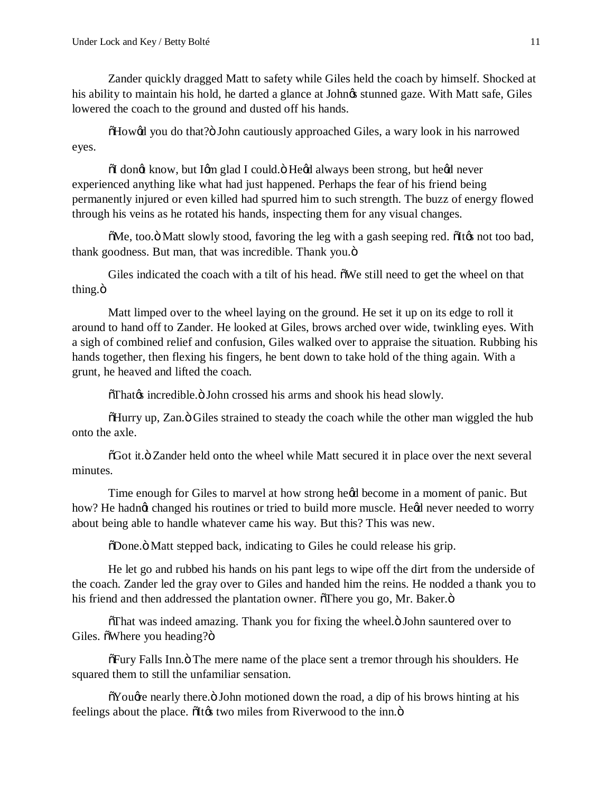Zander quickly dragged Matt to safety while Giles held the coach by himself. Shocked at his ability to maintain his hold, he darted a glance at John $\alpha$  stunned gaze. With Matt safe, Giles lowered the coach to the ground and dusted off his hands.

 $How\alpha$  you do that? $\ddot{o}$  John cautiously approached Giles, a wary look in his narrowed eyes.

 $\delta I$  dongt know, but Igm glad I could. $\delta$  Hegd always been strong, but hegd never experienced anything like what had just happened. Perhaps the fear of his friend being permanently injured or even killed had spurred him to such strength. The buzz of energy flowed through his veins as he rotated his hands, inspecting them for any visual changes.

 $\delta$ Me, too. $\ddot{o}$  Matt slowly stood, favoring the leg with a gash seeping red.  $\delta$ It $\alpha$  not too bad, thank goodness. But man, that was incredible. Thank you. $\ddot{o}$ 

Giles indicated the coach with a tilt of his head.  $\delta$ We still need to get the wheel on that thing.ö

Matt limped over to the wheel laying on the ground. He set it up on its edge to roll it around to hand off to Zander. He looked at Giles, brows arched over wide, twinkling eyes. With a sigh of combined relief and confusion, Giles walked over to appraise the situation. Rubbing his hands together, then flexing his fingers, he bent down to take hold of the thing again. With a grunt, he heaved and lifted the coach.

 $\delta$ That $\alpha$  incredible. $\ddot{\text{o}}$  John crossed his arms and shook his head slowly.

 $H($ GHurry up, Zan. $\ddot{o}$  Giles strained to steady the coach while the other man wiggled the hub onto the axle.

 $\tilde{\sigma}$ Got it. $\ddot{\sigma}$  Zander held onto the wheel while Matt secured it in place over the next several minutes.

Time enough for Giles to marvel at how strong he*i*d become in a moment of panic. But how? He hadnot changed his routines or tried to build more muscle. Heod never needed to worry about being able to handle whatever came his way. But this? This was new.

"Done." Matt stepped back, indicating to Giles he could release his grip.

He let go and rubbed his hands on his pant legs to wipe off the dirt from the underside of the coach. Zander led the gray over to Giles and handed him the reins. He nodded a thank you to his friend and then addressed the plantation owner.  $\delta$ There you go, Mr. Baker. $\ddot{o}$ 

 $\delta$ That was indeed amazing. Thank you for fixing the wheel. $\ddot{o}$  John sauntered over to Giles.  $\tilde{\text{o}}$ Where you heading? $\ddot{\text{o}}$ 

 $\delta$ Fury Falls Inn. $\ddot{o}$  The mere name of the place sent a tremor through his shoulders. He squared them to still the unfamiliar sensation.

 $\delta$ You $\alpha$  nearly there. $\delta$  John motioned down the road, a dip of his brows hinting at his feelings about the place.  $\delta$ It $\alpha$  two miles from Riverwood to the inn. $\ddot{\text{o}}$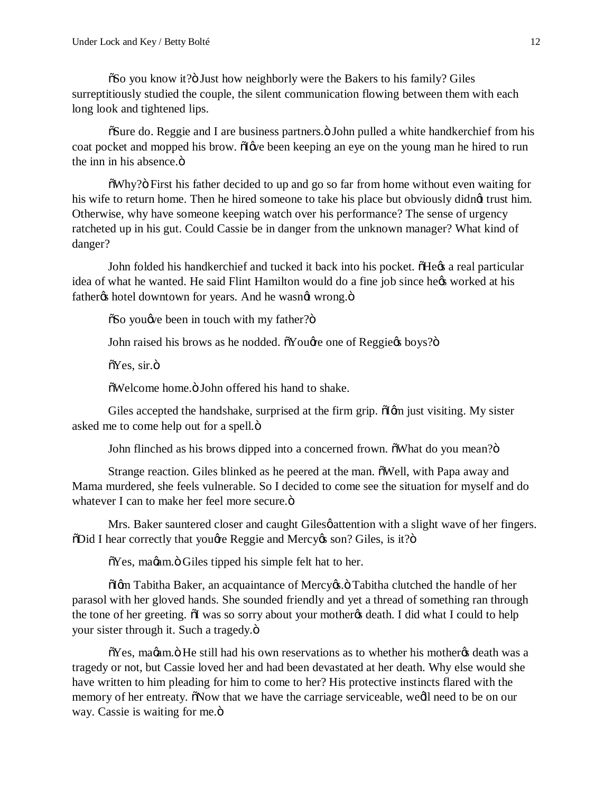$\delta$ So you know it? $\delta$  Just how neighborly were the Bakers to his family? Giles surreptitiously studied the couple, the silent communication flowing between them with each long look and tightened lips.

 $\delta$ Sure do. Reggie and I are business partners. $\ddot{\text{o}}$  John pulled a white handkerchief from his coat pocket and mopped his brow.  $\delta \phi$  been keeping an eye on the young man he hired to run the inn in his absence. $\ddot{\text{o}}$ 

 $\delta W$ hy? $\delta$  First his father decided to up and go so far from home without even waiting for his wife to return home. Then he hired someone to take his place but obviously didnet trust him. Otherwise, why have someone keeping watch over his performance? The sense of urgency ratcheted up in his gut. Could Cassie be in danger from the unknown manager? What kind of danger?

John folded his handkerchief and tucked it back into his pocket.  $\delta$ He $\alpha$  a real particular idea of what he wanted. He said Flint Hamilton would do a fine job since hext worked at his father% hotel downtown for years. And he wasn& wrong. $\ddot{o}$ 

 $\delta$ So you $\phi$  been in touch with my father? $\ddot{o}$ 

John raised his brows as he nodded.  $\delta$ You $\alpha$  one of Reggie $\alpha$  boys? $\delta$ 

 $\tilde{\text{o}}$ Yes, sir.ö

 $\delta$ Welcome home.  $\delta$  John offered his hand to shake.

Giles accepted the handshake, surprised at the firm grip.  $\delta$  Igm just visiting. My sister asked me to come help out for a spell. $\ddot{\text{o}}$ 

John flinched as his brows dipped into a concerned frown.  $\delta$ What do you mean? $\delta$ 

Strange reaction. Giles blinked as he peered at the man.  $\delta$ Well, with Papa away and Mama murdered, she feels vulnerable. So I decided to come see the situation for myself and do whatever I can to make her feel more secure. $\ddot{o}$ 

Mrs. Baker sauntered closer and caught Gilesø attention with a slight wave of her fingers.  $\delta$ Did I hear correctly that yougre Reggie and Mercy (son? Giles, is it? $\delta$ 

 $\delta$ Yes, ma $\alpha$ m. $\ddot{\sigma}$  Giles tipped his simple felt hat to her.

 $\delta$ Iom Tabitha Baker, an acquaintance of Mercyos. $\ddot{o}$  Tabitha clutched the handle of her parasol with her gloved hands. She sounded friendly and yet a thread of something ran through the tone of her greeting.  $\delta I$  was so sorry about your mother  $\delta$  death. I did what I could to help your sister through it. Such a tragedy. $\ddot{o}$ 

 $\delta$ Yes, ma $\alpha$ am. $\delta$  He still had his own reservations as to whether his mother  $\alpha$  death was a tragedy or not, but Cassie loved her and had been devastated at her death. Why else would she have written to him pleading for him to come to her? His protective instincts flared with the memory of her entreaty. Now that we have the carriage serviceable, wedl need to be on our way. Cassie is waiting for me. $\ddot{\text{o}}$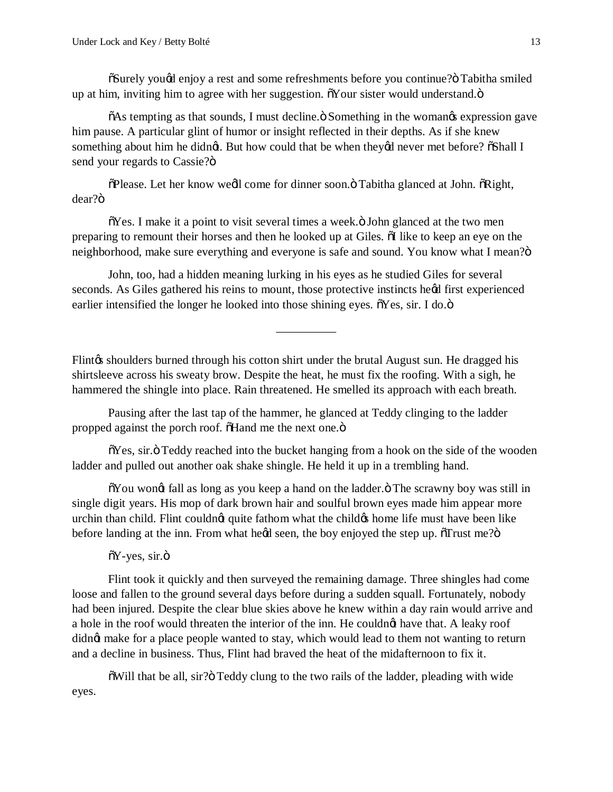$\delta$ Surely you $\alpha$ d enjoy a rest and some refreshments before you continue? Tabitha smiled up at him, inviting him to agree with her suggestion. Nour sister would understand. $\ddot{o}$ 

 $\delta$ As tempting as that sounds, I must decline. $\delta$  Something in the womangs expression gave him pause. A particular glint of humor or insight reflected in their depths. As if she knew something about him he didng. But how could that be when theyed never met before?  $\delta$ Shall I send your regards to Cassie?"

 $\delta$ Please. Let her know weell come for dinner soon.  $\delta$  Tabitha glanced at John.  $\delta$ Right, dear?ö

 $\delta$ Yes. I make it a point to visit several times a week. $\ddot{o}$  John glanced at the two men preparing to remount their horses and then he looked up at Giles.  $\delta I$  like to keep an eye on the neighborhood, make sure everything and everyone is safe and sound. You know what I mean? $\ddot{o}$ 

John, too, had a hidden meaning lurking in his eyes as he studied Giles for several seconds. As Giles gathered his reins to mount, those protective instincts heød first experienced earlier intensified the longer he looked into those shining eyes.  $\tilde{o}Yes$ , sir. I do. $\ddot{o}$ 

\_\_\_\_\_\_\_\_\_\_

Flint is shoulders burned through his cotton shirt under the brutal August sun. He dragged his shirtsleeve across his sweaty brow. Despite the heat, he must fix the roofing. With a sigh, he hammered the shingle into place. Rain threatened. He smelled its approach with each breath.

Pausing after the last tap of the hammer, he glanced at Teddy clinging to the ladder propped against the porch roof.  $\delta$ Hand me the next one. $\ddot{\mathrm{o}}$ 

 $\tilde{\sigma}$ Yes, sir. $\ddot{\sigma}$  Teddy reached into the bucket hanging from a hook on the side of the wooden ladder and pulled out another oak shake shingle. He held it up in a trembling hand.

 $\delta$ You wongt fall as long as you keep a hand on the ladder. $\ddot{o}$  The scrawny boy was still in single digit years. His mop of dark brown hair and soulful brown eyes made him appear more urchin than child. Flint couldnet quite fathom what the child to home life must have been like before landing at the inn. From what heed seen, the boy enjoyed the step up.  $\tilde{\text{or}}$  Trust me? $\tilde{\text{o}}$ 

 $\delta Y$ -yes, sir.ö

Flint took it quickly and then surveyed the remaining damage. Three shingles had come loose and fallen to the ground several days before during a sudden squall. Fortunately, nobody had been injured. Despite the clear blue skies above he knew within a day rain would arrive and a hole in the roof would threaten the interior of the inn. He couldnet have that. A leaky roof didng make for a place people wanted to stay, which would lead to them not wanting to return and a decline in business. Thus, Flint had braved the heat of the midafternoon to fix it.

 $\ddot{\text{o}}$  Will that be all, sir? $\ddot{\text{o}}$  Teddy clung to the two rails of the ladder, pleading with wide eyes.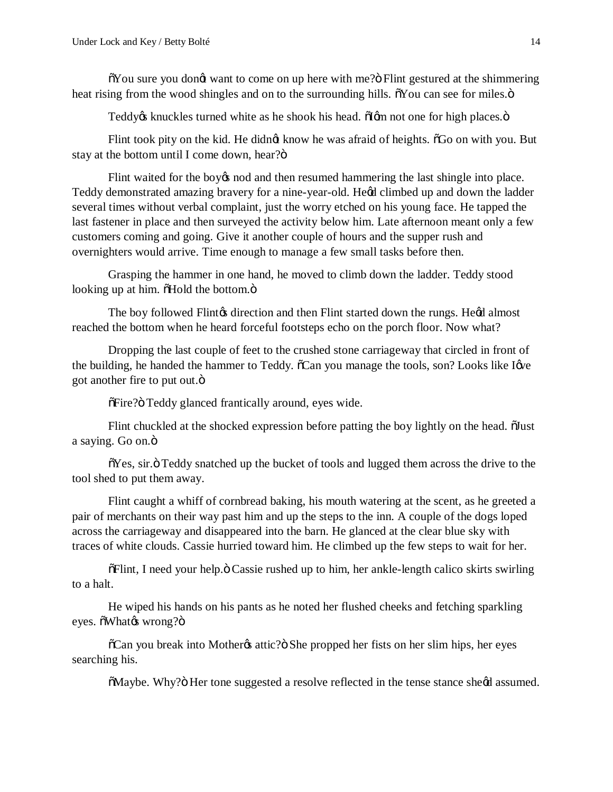$\delta$ You sure you don $\alpha$  want to come on up here with me? $\ddot{o}$  Flint gestured at the shimmering heat rising from the wood shingles and on to the surrounding hills. Not can see for miles. $\ddot{o}$ 

Teddy os knuckles turned white as he shook his head.  $\delta$ I om not one for high places. $\ddot{o}$ 

Flint took pity on the kid. He didnet know he was afraid of heights.  $\delta G$ o on with you. But stay at the bottom until I come down, hear?"

Flint waited for the boy's nod and then resumed hammering the last shingle into place. Teddy demonstrated amazing bravery for a nine-year-old. Hegd climbed up and down the ladder several times without verbal complaint, just the worry etched on his young face. He tapped the last fastener in place and then surveyed the activity below him. Late afternoon meant only a few customers coming and going. Give it another couple of hours and the supper rush and overnighters would arrive. Time enough to manage a few small tasks before then.

Grasping the hammer in one hand, he moved to climb down the ladder. Teddy stood looking up at him.  $\delta$ Hold the bottom. $\ddot{\mathrm{o}}$ 

The boy followed Flint of direction and then Flint started down the rungs. Heod almost reached the bottom when he heard forceful footsteps echo on the porch floor. Now what?

Dropping the last couple of feet to the crushed stone carriageway that circled in front of the building, he handed the hammer to Teddy.  $\tilde{c}$ Can you manage the tools, son? Looks like Igve got another fire to put out. $\ddot{\text{o}}$ 

 $\delta$ Fire? $\ddot{o}$  Teddy glanced frantically around, eyes wide.

Flint chuckled at the shocked expression before patting the boy lightly on the head.  $\tilde{\text{d}}$ ust a saying. Go on.ö

 $\delta$ Yes, sir. $\ddot{o}$  Teddy snatched up the bucket of tools and lugged them across the drive to the tool shed to put them away.

Flint caught a whiff of cornbread baking, his mouth watering at the scent, as he greeted a pair of merchants on their way past him and up the steps to the inn. A couple of the dogs loped across the carriageway and disappeared into the barn. He glanced at the clear blue sky with traces of white clouds. Cassie hurried toward him. He climbed up the few steps to wait for her.

 $\delta$ Flint, I need your help. $\ddot{\text{o}}$  Cassie rushed up to him, her ankle-length calico skirts swirling to a halt.

He wiped his hands on his pants as he noted her flushed cheeks and fetching sparkling eyes.  $\delta$ What $\alpha$  wrong? $\ddot{\text{o}}$ 

 $\tilde{C}$ an you break into Mother $\alpha$  attic? She propped her fists on her slim hips, her eyes searching his.

 $\delta$ Maybe. Why? $\ddot{o}$  Her tone suggested a resolve reflected in the tense stance sheed assumed.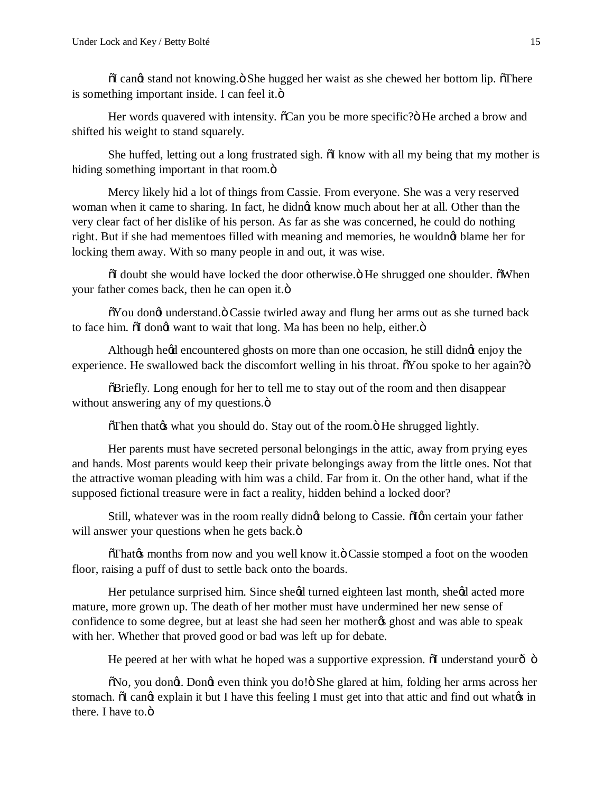$\tilde{\text{o}}$ I can $\alpha$  stand not knowing. $\tilde{\text{o}}$  She hugged her waist as she chewed her bottom lip.  $\tilde{\text{o}}$ There is something important inside. I can feel it.ö

Her words quavered with intensity.  $\delta Can$  you be more specific? He arched a brow and shifted his weight to stand squarely.

She huffed, letting out a long frustrated sigh.  $\delta$ I know with all my being that my mother is hiding something important in that room. $\ddot{o}$ 

Mercy likely hid a lot of things from Cassie. From everyone. She was a very reserved woman when it came to sharing. In fact, he didnet know much about her at all. Other than the very clear fact of her dislike of his person. As far as she was concerned, he could do nothing right. But if she had mementoes filled with meaning and memories, he wouldnot blame her for locking them away. With so many people in and out, it was wise.

 $\ddot{\text{o}}$ I doubt she would have locked the door otherwise. $\ddot{\text{o}}$  He shrugged one shoulder.  $\ddot{\text{o}}$ When your father comes back, then he can open it."

 $\delta$ You dongt understand. $\ddot{o}$  Cassie twirled away and flung her arms out as she turned back to face him.  $\ddot{\text{o}}$  dongt want to wait that long. Ma has been no help, either. $\ddot{\text{o}}$ 

Although heod encountered ghosts on more than one occasion, he still didnot enjoy the experience. He swallowed back the discomfort welling in his throat. Nou spoke to her again?"

 $\delta$ Briefly. Long enough for her to tell me to stay out of the room and then disappear without answering any of my questions. $\ddot{o}$ 

 $\delta$ Then that $\alpha$  what you should do. Stay out of the room. $\ddot{o}$  He shrugged lightly.

Her parents must have secreted personal belongings in the attic, away from prying eyes and hands. Most parents would keep their private belongings away from the little ones. Not that the attractive woman pleading with him was a child. Far from it. On the other hand, what if the supposed fictional treasure were in fact a reality, hidden behind a locked door?

Still, whatever was in the room really didng belong to Cassie.  $\delta$ Igm certain your father will answer your questions when he gets back. $\ddot{o}$ 

 $\delta$ That& months from now and you well know it. $\ddot{o}$  Cassie stomped a foot on the wooden floor, raising a puff of dust to settle back onto the boards.

Her petulance surprised him. Since sheed turned eighteen last month, sheed acted more mature, more grown up. The death of her mother must have undermined her new sense of confidence to some degree, but at least she had seen her mother  $\alpha$  ghost and was able to speak with her. Whether that proved good or bad was left up for debate.

He peered at her with what he hoped was a supportive expression.  $\delta I$  understand your  $\delta$   $\delta$ 

 $\delta$ No, you dongt. Dongt even think you do! $\delta$  She glared at him, folding her arms across her stomach. The cange explain it but I have this feeling I must get into that attic and find out what  $\alpha$  in there. I have to  $\ddot{\text{o}}$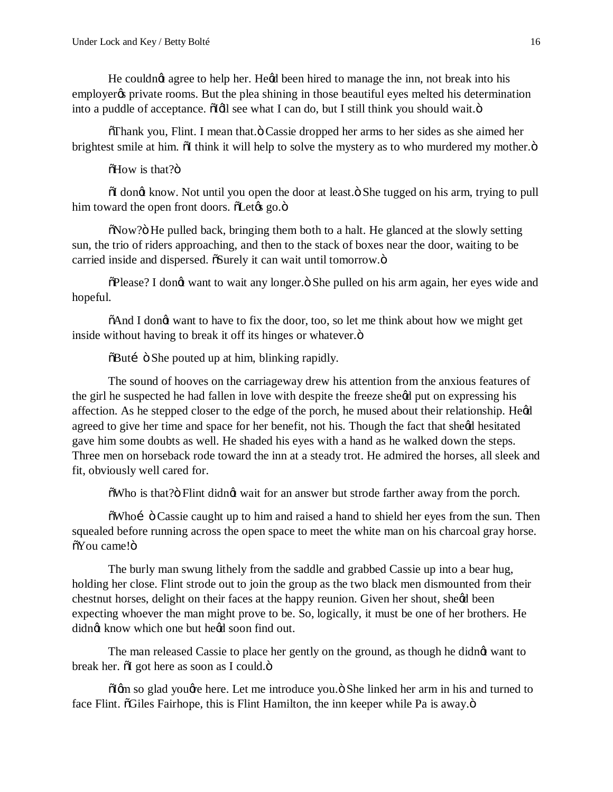He couldnot agree to help her. Heod been hired to manage the inn, not break into his employer private rooms. But the plea shining in those beautiful eyes melted his determination into a puddle of acceptance.  $\tilde{d}[d]$  see what I can do, but I still think you should wait. $\ddot{o}$ 

 $\delta$ Thank you, Flint. I mean that. $\ddot{\text{o}}$  Cassie dropped her arms to her sides as she aimed her brightest smile at him.  $\delta I$  think it will help to solve the mystery as to who murdered my mother. $\ddot{\delta}$ 

 $\delta$ How is that? $\ddot{\text{o}}$ 

 $\delta I$  dong know. Not until you open the door at least. $\ddot{\delta}$  She tugged on his arm, trying to pull him toward the open front doors.  $\delta$ Let $\alpha$  go. $\ddot{\sigma}$ 

 $\delta$ Now?" He pulled back, bringing them both to a halt. He glanced at the slowly setting sun, the trio of riders approaching, and then to the stack of boxes near the door, waiting to be carried inside and dispersed.  $\delta$ Surely it can wait until tomorrow. $\ddot{o}$ 

 $\delta$ Please? I dongt want to wait any longer.  $\delta$  She pulled on his arm again, her eyes wide and hopeful.

 $\delta$ And I dongt want to have to fix the door, too, so let me think about how we might get inside without having to break it off its hinges or whatever. $\ddot{o}$ 

 $\delta$ Buti  $\ddot{\circ}$  She pouted up at him, blinking rapidly.

The sound of hooves on the carriageway drew his attention from the anxious features of the girl he suspected he had fallen in love with despite the freeze sheed put on expressing his affection. As he stepped closer to the edge of the porch, he mused about their relationship. Hegd agreed to give her time and space for her benefit, not his. Though the fact that sheed hesitated gave him some doubts as well. He shaded his eyes with a hand as he walked down the steps. Three men on horseback rode toward the inn at a steady trot. He admired the horses, all sleek and fit, obviously well cared for.

 $\delta$ Who is that? $\delta$  Flint didngt wait for an answer but strode farther away from the porch.

 $\delta$ Whoi  $\ddot{\circ}$  Cassie caught up to him and raised a hand to shield her eyes from the sun. Then squealed before running across the open space to meet the white man on his charcoal gray horse.  $\delta$ You came! $\ddot{\text{o}}$ 

The burly man swung lithely from the saddle and grabbed Cassie up into a bear hug, holding her close. Flint strode out to join the group as the two black men dismounted from their chestnut horses, delight on their faces at the happy reunion. Given her shout, sheød been expecting whoever the man might prove to be. So, logically, it must be one of her brothers. He didnet know which one but heed soon find out.

The man released Cassie to place her gently on the ground, as though he didnet want to break her.  $\delta I$  got here as soon as I could. $\ddot{\mathrm{o}}$ 

 $\tilde{\text{d}}$ gm so glad yougte here. Let me introduce you.  $\tilde{\text{o}}$  She linked her arm in his and turned to face Flint. "Giles Fairhope, this is Flint Hamilton, the inn keeper while Pa is away."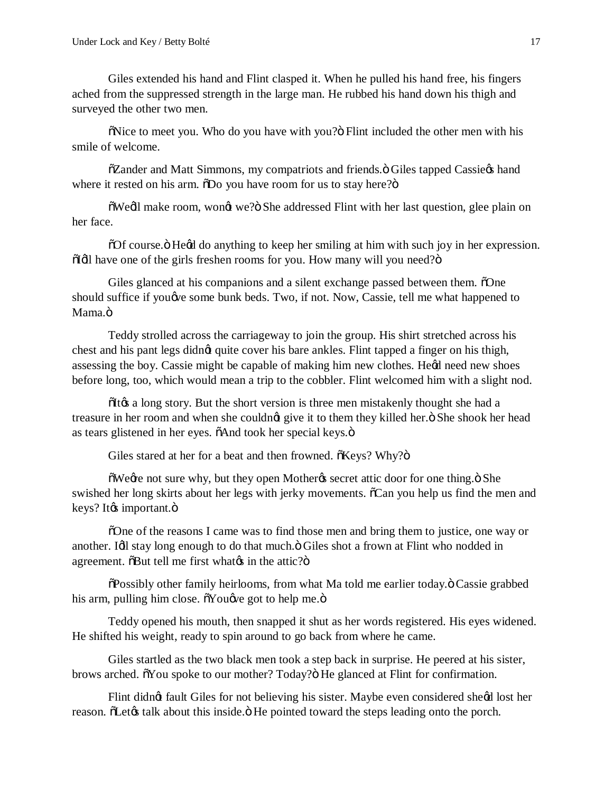Giles extended his hand and Flint clasped it. When he pulled his hand free, his fingers ached from the suppressed strength in the large man. He rubbed his hand down his thigh and surveyed the other two men.

 $\delta$ Nice to meet you. Who do you have with you? $\delta$  Flint included the other men with his smile of welcome.

 $\tilde{\text{o}}$ Zander and Matt Simmons, my compatriots and friends. $\ddot{\text{o}}$  Giles tapped Cassie $\alpha$  hand where it rested on his arm.  $\delta$ Do you have room for us to stay here?"

 $\delta$ Wedl make room, won $\alpha$  we? $\delta$  She addressed Flint with her last question, glee plain on her face.

 $\delta$ Of course.  $\delta$  He $\alpha$  do anything to keep her smiling at him with such joy in her expression.  $\ddot{\text{o}}$ Idl have one of the girls freshen rooms for you. How many will you need? $\ddot{\text{o}}$ 

Giles glanced at his companions and a silent exchange passed between them.  $\delta$ One should suffice if you we some bunk beds. Two, if not. Now, Cassie, tell me what happened to Mama.ö

Teddy strolled across the carriageway to join the group. His shirt stretched across his chest and his pant legs didn $\alpha$  quite cover his bare ankles. Flint tapped a finger on his thigh, assessing the boy. Cassie might be capable of making him new clothes. Hegd need new shoes before long, too, which would mean a trip to the cobbler. Flint welcomed him with a slight nod.

 $I(x)$  a long story. But the short version is three men mistakenly thought she had a treasure in her room and when she couldnot give it to them they killed her." She shook her head as tears glistened in her eyes.  $\delta$ And took her special keys. $\ddot{\text{o}}$ 

Giles stared at her for a beat and then frowned.  $\tilde{o}$ Keys? Why? $\tilde{o}$ 

 $\tilde{\text{o}}$ Wegre not sure why, but they open Mothergs secret attic door for one thing. $\tilde{\text{o}}$  She swished her long skirts about her legs with jerky movements.  $\tilde{c}$ Can you help us find the men and  $keys?$  It $\&$  important. $\ddot{o}$ 

"One of the reasons I came was to find those men and bring them to justice, one way or another. Idl stay long enough to do that much." Giles shot a frown at Flint who nodded in agreement.  $\delta$ But tell me first what $\alpha$  in the attic? $\delta$ 

 $\delta$ Possibly other family heirlooms, from what Ma told me earlier today. $\ddot{o}$  Cassie grabbed his arm, pulling him close.  $\delta$ You $\phi$ e got to help me. $\ddot{\text{o}}$ 

Teddy opened his mouth, then snapped it shut as her words registered. His eyes widened. He shifted his weight, ready to spin around to go back from where he came.

Giles startled as the two black men took a step back in surprise. He peered at his sister, brows arched.  $\tilde{o}$ You spoke to our mother? Today? $\tilde{o}$  He glanced at Flint for confirmation.

Flint didng fault Giles for not believing his sister. Maybe even considered sheed lost her reason.  $\delta$ Let $\alpha$  talk about this inside.  $\delta$  He pointed toward the steps leading onto the porch.